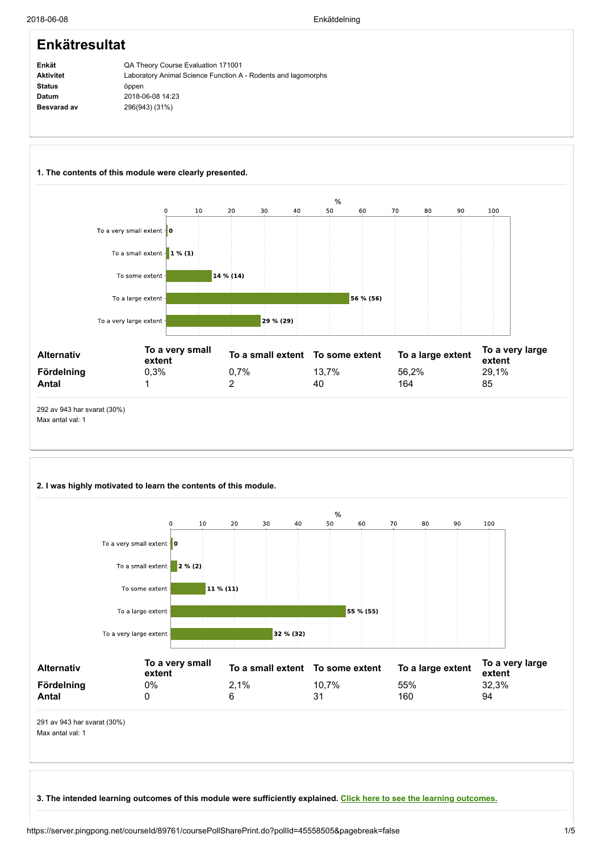#### Enkät Aktivitet Status Datum Besvarad av Enkätresultat QA Theory Course Evaluation 171001 Laboratory Animal Science Function A - Rodents and lagomorphs öppen 2018-06-08 14:23 296(943) (31%)



## 2. I was highly motivated to learn the contents of this module.

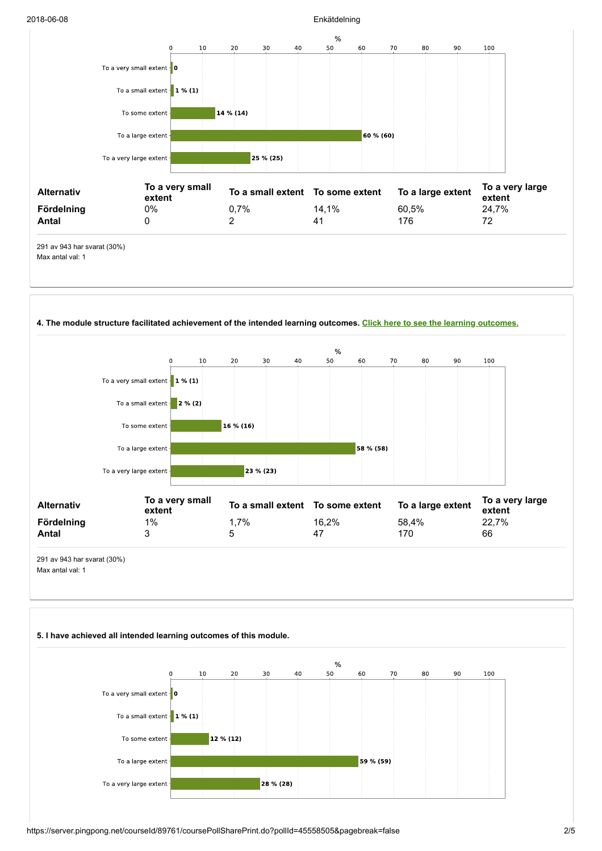#### 2018-06-08 Enkätdelning



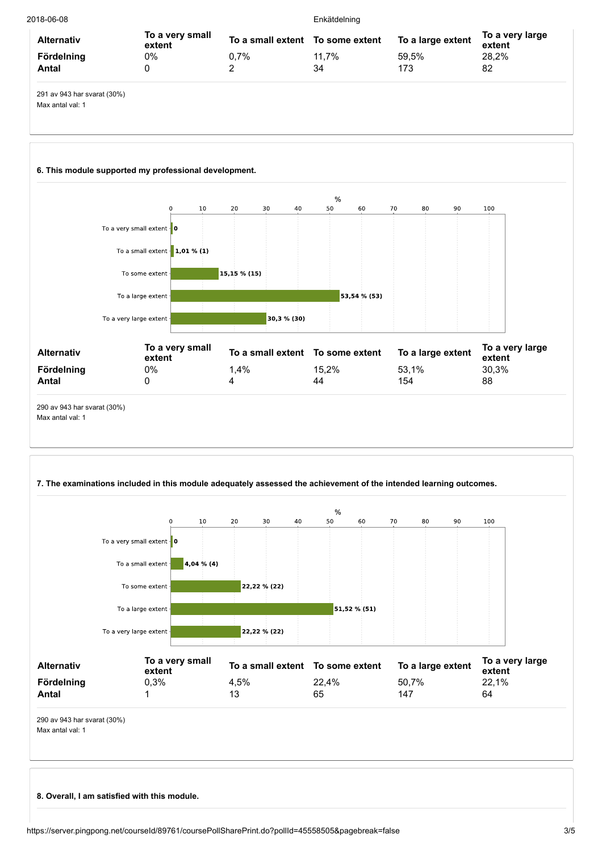|                           |          | Enkätdelning |                                  |                           |  |  |  |
|---------------------------|----------|--------------|----------------------------------|---------------------------|--|--|--|
| To a very small<br>extent |          |              | To a large extent                | To a very large<br>extent |  |  |  |
| 0%                        | 0.7%     | 11.7%        | 59.5%                            | 28.2%                     |  |  |  |
|                           | <u>.</u> | 34           | 173                              | 82                        |  |  |  |
|                           |          |              | To a small extent To some extent |                           |  |  |  |

291 av 943 har svarat (30%) Max antal val: 1

## 6. This module supported my professional development.



## 7. The examinations included in this module adequately assessed the achievement of the intended learning outcomes.



8. Overall, I am satisfied with this module.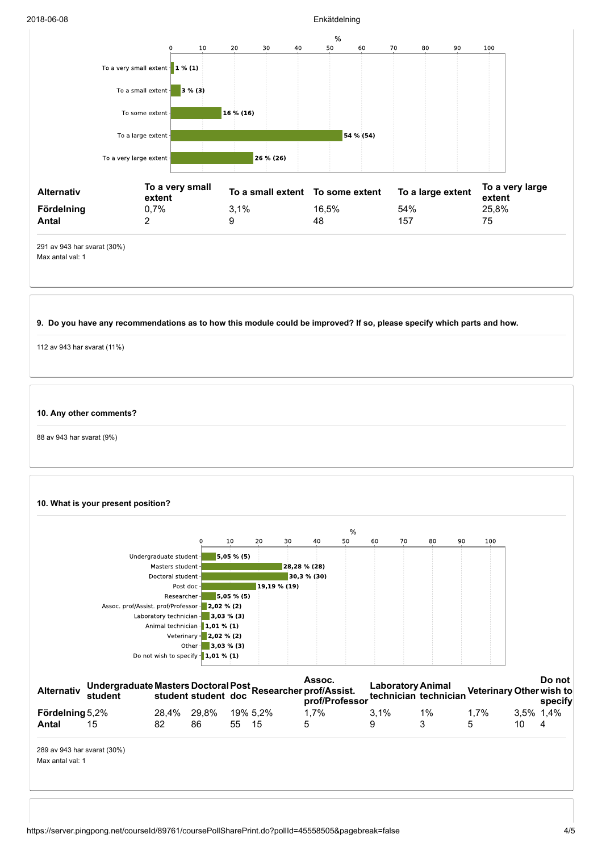

| <b>Alternativ</b>      | Undergraduate Masters Doctoral Post<br>student student student doc<br>mast mast mast materials |             |    |       |          | Assoc.<br>out prothers with the profile of the profile of the profile of the profile of the profile of the profile of the profile of the profile of the profile of the profile of the profile of the profile of the profile of the profi |         |    |         |           | Do not |
|------------------------|------------------------------------------------------------------------------------------------|-------------|----|-------|----------|------------------------------------------------------------------------------------------------------------------------------------------------------------------------------------------------------------------------------------------|---------|----|---------|-----------|--------|
| <b>Fördelning</b> 5,2% |                                                                                                | 28.4% 29.8% |    |       | 19% 5.2% | $1.7\%$                                                                                                                                                                                                                                  | $3.1\%$ | 1% | $1.7\%$ | 3.5% 1.4% |        |
| Antal                  | 15                                                                                             | 82          | 86 | 55 15 |          | 5                                                                                                                                                                                                                                        | 9       |    | 5       |           | 4      |
|                        |                                                                                                |             |    |       |          |                                                                                                                                                                                                                                          |         |    |         |           |        |

289 av 943 har svarat (30%) Max antal val: 1